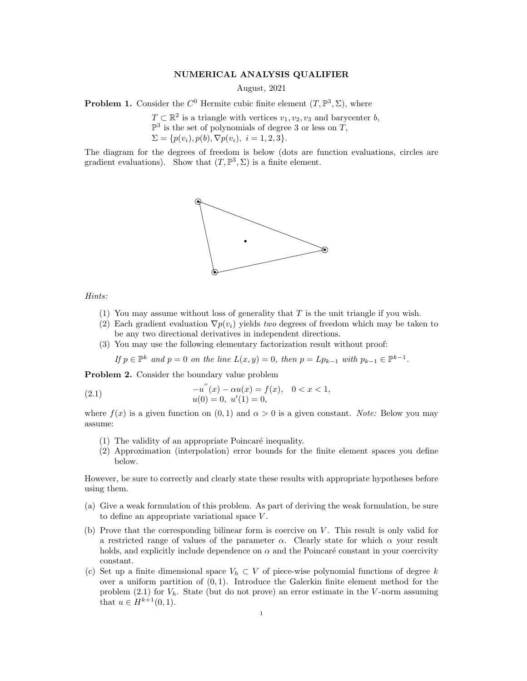## NUMERICAL ANALYSIS QUALIFIER

August, 2021

**Problem 1.** Consider the  $C^0$  Hermite cubic finite element  $(T, \mathbb{P}^3, \Sigma)$ , where

 $T \subset \mathbb{R}^2$  is a triangle with vertices  $v_1, v_2, v_3$  and barycenter b,  $\mathbb{P}^3$  is the set of polynomials of degree 3 or less on T,  $\Sigma = \{p(v_i), p(b), \nabla p(v_i), i = 1, 2, 3\}.$ 

The diagram for the degrees of freedom is below (dots are function evaluations, circles are gradient evaluations). Show that  $(T, \mathbb{P}^3, \Sigma)$  is a finite element.



## Hints:

- (1) You may assume without loss of generality that  $T$  is the unit triangle if you wish.
- (2) Each gradient evaluation  $\nabla p(v_i)$  yields two degrees of freedom which may be taken to be any two directional derivatives in independent directions.
- (3) You may use the following elementary factorization result without proof:

If  $p \in \mathbb{P}^k$  and  $p = 0$  on the line  $L(x, y) = 0$ , then  $p = Lp_{k-1}$  with  $p_{k-1} \in \mathbb{P}^{k-1}$ .

Problem 2. Consider the boundary value problem

(2.1) 
$$
-u''(x) - \alpha u(x) = f(x), \quad 0 < x < 1,
$$

$$
u(0) = 0, \quad u'(1) = 0,
$$

where  $f(x)$  is a given function on  $(0, 1)$  and  $\alpha > 0$  is a given constant. Note: Below you may assume:

- $(1)$  The validity of an appropriate Poincaré inequality.
- (2) Approximation (interpolation) error bounds for the finite element spaces you define below.

However, be sure to correctly and clearly state these results with appropriate hypotheses before using them.

- (a) Give a weak formulation of this problem. As part of deriving the weak formulation, be sure to define an appropriate variational space V .
- (b) Prove that the corresponding bilinear form is coercive on  $V$ . This result is only valid for a restricted range of values of the parameter  $\alpha$ . Clearly state for which  $\alpha$  your result holds, and explicitly include dependence on  $\alpha$  and the Poincaré constant in your coercivity constant.
- (c) Set up a finite dimensional space  $V_h \subset V$  of piece-wise polynomial functions of degree k over a uniform partition of  $(0, 1)$ . Introduce the Galerkin finite element method for the problem (2.1) for  $V_h$ . State (but do not prove) an error estimate in the V-norm assuming that  $u \in H^{k+1}(0,1)$ .